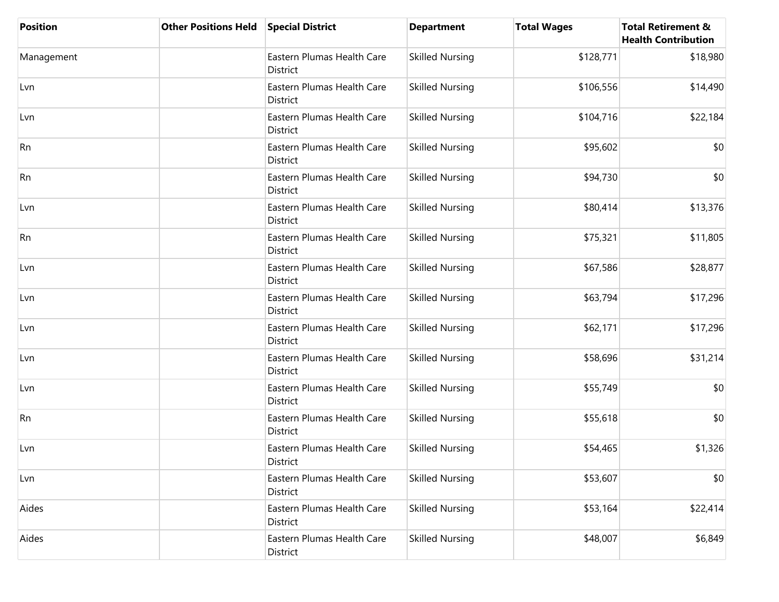| <b>Position</b> | <b>Other Positions Held</b> | <b>Special District</b>                | <b>Department</b>      | <b>Total Wages</b> | <b>Total Retirement &amp;</b><br><b>Health Contribution</b> |
|-----------------|-----------------------------|----------------------------------------|------------------------|--------------------|-------------------------------------------------------------|
| Management      |                             | Eastern Plumas Health Care<br>District | <b>Skilled Nursing</b> | \$128,771          | \$18,980                                                    |
| Lvn             |                             | Eastern Plumas Health Care<br>District | <b>Skilled Nursing</b> | \$106,556          | \$14,490                                                    |
| Lvn             |                             | Eastern Plumas Health Care<br>District | <b>Skilled Nursing</b> | \$104,716          | \$22,184                                                    |
| Rn              |                             | Eastern Plumas Health Care<br>District | <b>Skilled Nursing</b> | \$95,602           | \$0                                                         |
| <b>Rn</b>       |                             | Eastern Plumas Health Care<br>District | <b>Skilled Nursing</b> | \$94,730           | \$0                                                         |
| Lvn             |                             | Eastern Plumas Health Care<br>District | <b>Skilled Nursing</b> | \$80,414           | \$13,376                                                    |
| <b>Rn</b>       |                             | Eastern Plumas Health Care<br>District | <b>Skilled Nursing</b> | \$75,321           | \$11,805                                                    |
| Lvn             |                             | Eastern Plumas Health Care<br>District | <b>Skilled Nursing</b> | \$67,586           | \$28,877                                                    |
| Lvn             |                             | Eastern Plumas Health Care<br>District | <b>Skilled Nursing</b> | \$63,794           | \$17,296                                                    |
| Lvn             |                             | Eastern Plumas Health Care<br>District | <b>Skilled Nursing</b> | \$62,171           | \$17,296                                                    |
| Lvn             |                             | Eastern Plumas Health Care<br>District | <b>Skilled Nursing</b> | \$58,696           | \$31,214                                                    |
| Lvn             |                             | Eastern Plumas Health Care<br>District | <b>Skilled Nursing</b> | \$55,749           | \$0                                                         |
| Rn              |                             | Eastern Plumas Health Care<br>District | <b>Skilled Nursing</b> | \$55,618           | \$0                                                         |
| Lvn             |                             | Eastern Plumas Health Care<br>District | <b>Skilled Nursing</b> | \$54,465           | \$1,326                                                     |
| Lvn             |                             | Eastern Plumas Health Care<br>District | <b>Skilled Nursing</b> | \$53,607           | \$0                                                         |
| Aides           |                             | Eastern Plumas Health Care<br>District | <b>Skilled Nursing</b> | \$53,164           | \$22,414                                                    |
| Aides           |                             | Eastern Plumas Health Care<br>District | <b>Skilled Nursing</b> | \$48,007           | \$6,849                                                     |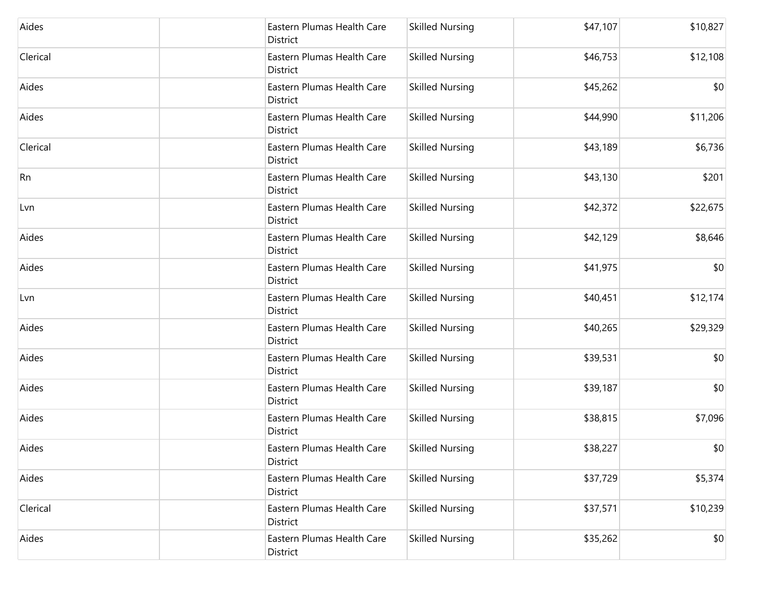| Aides     | Eastern Plumas Health Care<br>District | <b>Skilled Nursing</b> | \$47,107 | \$10,827 |
|-----------|----------------------------------------|------------------------|----------|----------|
| Clerical  | Eastern Plumas Health Care<br>District | <b>Skilled Nursing</b> | \$46,753 | \$12,108 |
| Aides     | Eastern Plumas Health Care<br>District | <b>Skilled Nursing</b> | \$45,262 | \$0      |
| Aides     | Eastern Plumas Health Care<br>District | <b>Skilled Nursing</b> | \$44,990 | \$11,206 |
| Clerical  | Eastern Plumas Health Care<br>District | <b>Skilled Nursing</b> | \$43,189 | \$6,736  |
| <b>Rn</b> | Eastern Plumas Health Care<br>District | <b>Skilled Nursing</b> | \$43,130 | \$201    |
| Lvn       | Eastern Plumas Health Care<br>District | <b>Skilled Nursing</b> | \$42,372 | \$22,675 |
| Aides     | Eastern Plumas Health Care<br>District | <b>Skilled Nursing</b> | \$42,129 | \$8,646  |
| Aides     | Eastern Plumas Health Care<br>District | <b>Skilled Nursing</b> | \$41,975 | \$0      |
| Lvn       | Eastern Plumas Health Care<br>District | <b>Skilled Nursing</b> | \$40,451 | \$12,174 |
| Aides     | Eastern Plumas Health Care<br>District | <b>Skilled Nursing</b> | \$40,265 | \$29,329 |
| Aides     | Eastern Plumas Health Care<br>District | <b>Skilled Nursing</b> | \$39,531 | \$0      |
| Aides     | Eastern Plumas Health Care<br>District | <b>Skilled Nursing</b> | \$39,187 | \$0      |
| Aides     | Eastern Plumas Health Care<br>District | <b>Skilled Nursing</b> | \$38,815 | \$7,096  |
| Aides     | Eastern Plumas Health Care<br>District | <b>Skilled Nursing</b> | \$38,227 | \$0      |
| Aides     | Eastern Plumas Health Care<br>District | <b>Skilled Nursing</b> | \$37,729 | \$5,374  |
| Clerical  | Eastern Plumas Health Care<br>District | <b>Skilled Nursing</b> | \$37,571 | \$10,239 |
| Aides     | Eastern Plumas Health Care<br>District | <b>Skilled Nursing</b> | \$35,262 | \$0      |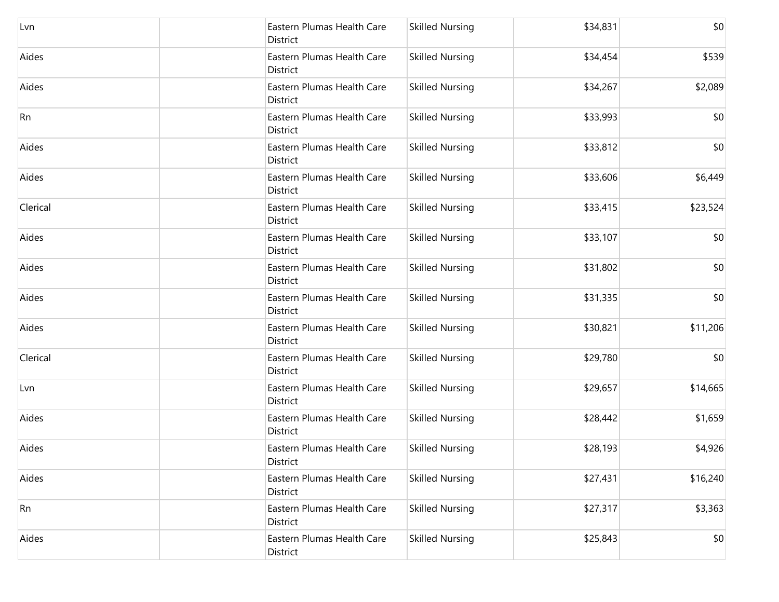| Lvn      | Eastern Plumas Health Care<br>District | <b>Skilled Nursing</b> | \$34,831 | \$0      |
|----------|----------------------------------------|------------------------|----------|----------|
| Aides    | Eastern Plumas Health Care<br>District | <b>Skilled Nursing</b> | \$34,454 | \$539    |
| Aides    | Eastern Plumas Health Care<br>District | <b>Skilled Nursing</b> | \$34,267 | \$2,089  |
| Rn       | Eastern Plumas Health Care<br>District | <b>Skilled Nursing</b> | \$33,993 | \$0      |
| Aides    | Eastern Plumas Health Care<br>District | <b>Skilled Nursing</b> | \$33,812 | \$0      |
| Aides    | Eastern Plumas Health Care<br>District | <b>Skilled Nursing</b> | \$33,606 | \$6,449  |
| Clerical | Eastern Plumas Health Care<br>District | <b>Skilled Nursing</b> | \$33,415 | \$23,524 |
| Aides    | Eastern Plumas Health Care<br>District | <b>Skilled Nursing</b> | \$33,107 | \$0      |
| Aides    | Eastern Plumas Health Care<br>District | <b>Skilled Nursing</b> | \$31,802 | \$0      |
| Aides    | Eastern Plumas Health Care<br>District | <b>Skilled Nursing</b> | \$31,335 | \$0      |
| Aides    | Eastern Plumas Health Care<br>District | <b>Skilled Nursing</b> | \$30,821 | \$11,206 |
| Clerical | Eastern Plumas Health Care<br>District | <b>Skilled Nursing</b> | \$29,780 | \$0      |
| Lvn      | Eastern Plumas Health Care<br>District | <b>Skilled Nursing</b> | \$29,657 | \$14,665 |
| Aides    | Eastern Plumas Health Care<br>District | <b>Skilled Nursing</b> | \$28,442 | \$1,659  |
| Aides    | Eastern Plumas Health Care<br>District | <b>Skilled Nursing</b> | \$28,193 | \$4,926  |
| Aides    | Eastern Plumas Health Care<br>District | <b>Skilled Nursing</b> | \$27,431 | \$16,240 |
| Rn       | Eastern Plumas Health Care<br>District | <b>Skilled Nursing</b> | \$27,317 | \$3,363  |
| Aides    | Eastern Plumas Health Care<br>District | <b>Skilled Nursing</b> | \$25,843 | \$0      |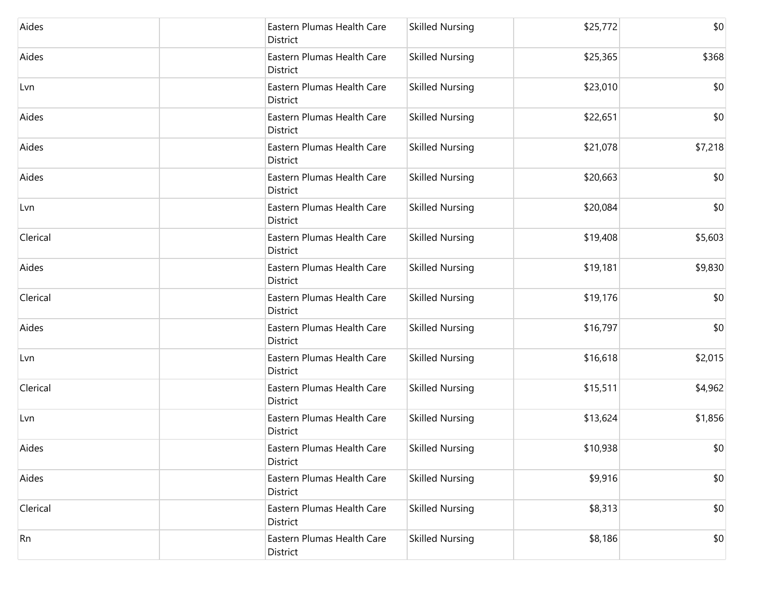| Aides    | Eastern Plumas Health Care<br>District | <b>Skilled Nursing</b> | \$25,772 | \$0     |
|----------|----------------------------------------|------------------------|----------|---------|
| Aides    | Eastern Plumas Health Care<br>District | <b>Skilled Nursing</b> | \$25,365 | \$368   |
| Lvn      | Eastern Plumas Health Care<br>District | <b>Skilled Nursing</b> | \$23,010 | \$0     |
| Aides    | Eastern Plumas Health Care<br>District | <b>Skilled Nursing</b> | \$22,651 | \$0     |
| Aides    | Eastern Plumas Health Care<br>District | <b>Skilled Nursing</b> | \$21,078 | \$7,218 |
| Aides    | Eastern Plumas Health Care<br>District | <b>Skilled Nursing</b> | \$20,663 | \$0     |
| Lvn      | Eastern Plumas Health Care<br>District | <b>Skilled Nursing</b> | \$20,084 | \$0     |
| Clerical | Eastern Plumas Health Care<br>District | <b>Skilled Nursing</b> | \$19,408 | \$5,603 |
| Aides    | Eastern Plumas Health Care<br>District | <b>Skilled Nursing</b> | \$19,181 | \$9,830 |
| Clerical | Eastern Plumas Health Care<br>District | <b>Skilled Nursing</b> | \$19,176 | \$0     |
| Aides    | Eastern Plumas Health Care<br>District | <b>Skilled Nursing</b> | \$16,797 | \$0     |
| Lvn      | Eastern Plumas Health Care<br>District | <b>Skilled Nursing</b> | \$16,618 | \$2,015 |
| Clerical | Eastern Plumas Health Care<br>District | <b>Skilled Nursing</b> | \$15,511 | \$4,962 |
| Lvn      | Eastern Plumas Health Care<br>District | <b>Skilled Nursing</b> | \$13,624 | \$1,856 |
| Aides    | Eastern Plumas Health Care<br>District | <b>Skilled Nursing</b> | \$10,938 | \$0     |
| Aides    | Eastern Plumas Health Care<br>District | <b>Skilled Nursing</b> | \$9,916  | \$0     |
| Clerical | Eastern Plumas Health Care<br>District | <b>Skilled Nursing</b> | \$8,313  | \$0     |
| Rn       | Eastern Plumas Health Care<br>District | <b>Skilled Nursing</b> | \$8,186  | \$0     |